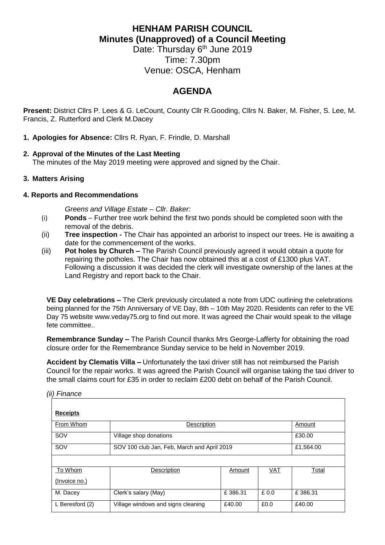# **HENHAM PARISH COUNCIL Minutes (Unapproved) of a Council Meeting**

Date: Thursday 6<sup>th</sup> June 2019 Time: 7.30pm Venue: OSCA, Henham

## **AGENDA**

**Present:** District Cllrs P. Lees & G. LeCount, County Cllr R.Gooding, Cllrs N. Baker, M. Fisher, S. Lee, M. Francis, Z. Rutterford and Clerk M.Dacey

## **1. Apologies for Absence:** Cllrs R. Ryan, F. Frindle, D. Marshall

## **2. Approval of the Minutes of the Last Meeting**

The minutes of the May 2019 meeting were approved and signed by the Chair.

## **3. Matters Arising**

#### **4. Reports and Recommendations**

*Greens and Village Estate – Cllr. Baker:*

- (i) **Ponds**  Further tree work behind the first two ponds should be completed soon with the removal of the debris.
- (ii) **Tree inspection -** The Chair has appointed an arborist to inspect our trees. He is awaiting a date for the commencement of the works.
- (iii) **Pot holes by Church –** The Parish Council previously agreed it would obtain a quote for repairing the potholes. The Chair has now obtained this at a cost of £1300 plus VAT. Following a discussion it was decided the clerk will investigate ownership of the lanes at the Land Registry and report back to the Chair.

**VE Day celebrations –** The Clerk previously circulated a note from UDC outlining the celebrations being planned for the 75th Anniversary of VE Day, 8th – 10th May 2020. Residents can refer to the VE Day 75 website [www.veday75.org](http://www.veday75.org/) to find out more. It was agreed the Chair would speak to the village fete committee..

**Remembrance Sunday –** The Parish Council thanks Mrs George-Lafferty for obtaining the road closure order for the Remembrance Sunday service to be held in November 2019.

**Accident by Clematis Villa –** Unfortunately the taxi driver still has not reimbursed the Parish Council for the repair works. It was agreed the Parish Council will organise taking the taxi driver to the small claims court for £35 in order to reclaim £200 debt on behalf of the Parish Council.

*(ii) Finance*

| <b>Receipts</b> |                                             |           |            |         |  |  |
|-----------------|---------------------------------------------|-----------|------------|---------|--|--|
| From Whom       | Description                                 |           |            | Amount  |  |  |
| SOV             | Village shop donations                      | £30.00    |            |         |  |  |
| SOV             | SOV 100 club Jan, Feb, March and April 2019 | £1,564.00 |            |         |  |  |
|                 |                                             |           |            |         |  |  |
| To Whom         | Description                                 | Amount    | <b>VAT</b> | Total   |  |  |
| (Invoice no.)   |                                             |           |            |         |  |  |
| M. Dacey        | Clerk's salary (May)                        | £386.31   | £0.0       | £386.31 |  |  |
| L Beresford (2) | Village windows and signs cleaning          | £40.00    | £0.0       | £40.00  |  |  |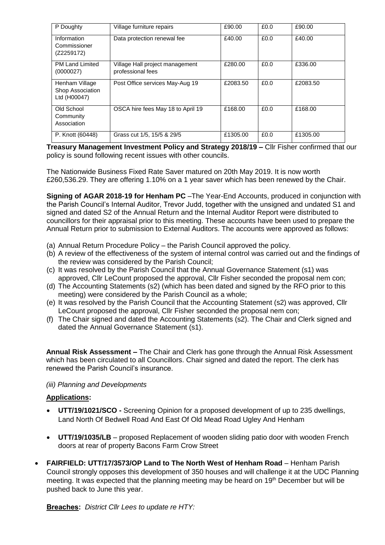| P Doughty                                          | Village furniture repairs                            | £90.00   | £0.0 | £90.00   |
|----------------------------------------------------|------------------------------------------------------|----------|------|----------|
| Information<br>Commissioner<br>(Z2259172)          | Data protection renewal fee                          | £40.00   | £0.0 | £40.00   |
| <b>PM Land Limited</b><br>(0000027)                | Village Hall project management<br>professional fees | £280.00  | £0.0 | £336.00  |
| Henham Village<br>Shop Association<br>Ltd (H00047) | Post Office services May-Aug 19                      | £2083.50 | £0.0 | £2083.50 |
| Old School<br>Community<br>Association             | OSCA hire fees May 18 to April 19                    | £168.00  | £0.0 | £168.00  |
| P. Knott (60448)                                   | Grass cut 1/5, 15/5 & 29/5                           | £1305.00 | £0.0 | £1305.00 |

**Treasury Management Investment Policy and Strategy 2018/19 –** Cllr Fisher confirmed that our policy is sound following recent issues with other councils.

The Nationwide Business Fixed Rate Saver matured on 20th May 2019. It is now worth £260,536.29. They are offering 1.10% on a 1 year saver which has been renewed by the Chair.

**Signing of AGAR 2018-19 for Henham PC** –The Year-End Accounts, produced in conjunction with the Parish Council's Internal Auditor, Trevor Judd, together with the unsigned and undated S1 and signed and dated S2 of the Annual Return and the Internal Auditor Report were distributed to councillors for their appraisal prior to this meeting. These accounts have been used to prepare the Annual Return prior to submission to External Auditors. The accounts were approved as follows:

- (a) Annual Return Procedure Policy the Parish Council approved the policy.
- (b) A review of the effectiveness of the system of internal control was carried out and the findings of the review was considered by the Parish Council;
- (c) It was resolved by the Parish Council that the Annual Governance Statement (s1) was approved, Cllr LeCount proposed the approval, Cllr Fisher seconded the proposal nem con;
- (d) The Accounting Statements (s2) (which has been dated and signed by the RFO prior to this meeting) were considered by the Parish Council as a whole;
- (e) It was resolved by the Parish Council that the Accounting Statement (s2) was approved, Cllr LeCount proposed the approval, Cllr Fisher seconded the proposal nem con;
- (f) The Chair signed and dated the Accounting Statements (s2). The Chair and Clerk signed and dated the Annual Governance Statement (s1).

**Annual Risk Assessment –** The Chair and Clerk has gone through the Annual Risk Assessment which has been circulated to all Councillors. Chair signed and dated the report. The clerk has renewed the Parish Council's insurance.

#### *(iii) Planning and Developments*

#### **Applications:**

- **UTT/19/1021/SCO -** Screening Opinion for a proposed development of up to 235 dwellings, Land North Of Bedwell Road And East Of Old Mead Road Ugley And Henham
- **UTT/19/1035/LB** proposed Replacement of wooden sliding patio door with wooden French doors at rear of property Bacons Farm Crow Street
- **FAIRFIELD: UTT/17/3573/OP Land to The North West of Henham Road** Henham Parish Council strongly opposes this development of 350 houses and will challenge it at the UDC Planning meeting. It was expected that the planning meeting may be heard on 19<sup>th</sup> December but will be pushed back to June this year.

**Breaches:** *District Cllr Lees to update re HTY:*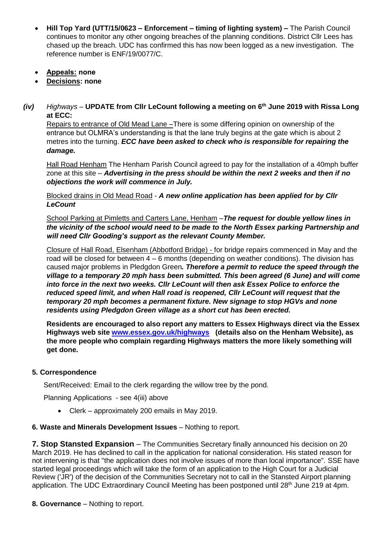- **Hill Top Yard (UTT/15/0623 – Enforcement – timing of lighting system) –** The Parish Council continues to monitor any other ongoing breaches of the planning conditions. District Cllr Lees has chased up the breach. UDC has confirmed this has now been logged as a new investigation. The reference number is ENF/19/0077/C.
- **Appeals: none**
- **Decisions: none**
- *(iv) Highways –* **UPDATE from Cllr LeCount following a meeting on 6th June 2019 with Rissa Long at ECC:**

Repairs to entrance of Old Mead Lane –There is some differing opinion on ownership of the entrance but OLMRA's understanding is that the lane truly begins at the gate which is about 2 metres into the turning. *ECC have been asked to check who is responsible for repairing the damage.*

Hall Road Henham The Henham Parish Council agreed to pay for the installation of a 40mph buffer zone at this site – *Advertising in the press should be within the next 2 weeks and then if no objections the work will commence in July.*

Blocked drains in Old Mead Road - *A new online application has been applied for by Cllr LeCount*

School Parking at Pimletts and Carters Lane, Henham –*The request for double yellow lines in the vicinity of the school would need to be made to the North Essex parking Partnership and will need Cllr Gooding's support as the relevant County Member.* 

Closure of Hall Road, Elsenham (Abbotford Bridge) - for bridge repairs commenced in May and the road will be closed for between 4 – 6 months (depending on weather conditions). The division has caused major problems in Pledgdon Green*. Therefore a permit to reduce the speed through the village to a temporary 20 mph hass been submitted. This been agreed (6 June) and will come into force in the next two weeks. Cllr LeCount will then ask Essex Police to enforce the reduced speed limit, and when Hall road is reopened, Cllr LeCount will request that the temporary 20 mph becomes a permanent fixture. New signage to stop HGVs and none residents using Pledgdon Green village as a short cut has been erected.*

**Residents are encouraged to also report any matters to Essex Highways direct via the Essex Highways web site [www.essex.gov.uk/highways](http://www.essex.gov.uk/highways) (details also on the Henham Website), as the more people who complain regarding Highways matters the more likely something will get done.**

## **5. Correspondence**

Sent/Received: Email to the clerk regarding the willow tree by the pond.

Planning Applications - see 4(iii) above

• Clerk – approximately 200 emails in May 2019.

#### **6. Waste and Minerals Development Issues** – Nothing to report.

**7. Stop Stansted Expansion** – The Communities Secretary finally announced his decision on 20 March 2019. He has declined to call in the application for national consideration. His stated reason for not intervening is that "the application does not involve issues of more than local importance". SSE have started legal proceedings which will take the form of an application to the High Court for a Judicial Review ('JR') of the decision of the Communities Secretary not to call in the Stansted Airport planning application. The UDC Extraordinary Council Meeting has been postponed until  $28<sup>th</sup>$  June 219 at 4pm.

**8. Governance** – Nothing to report.